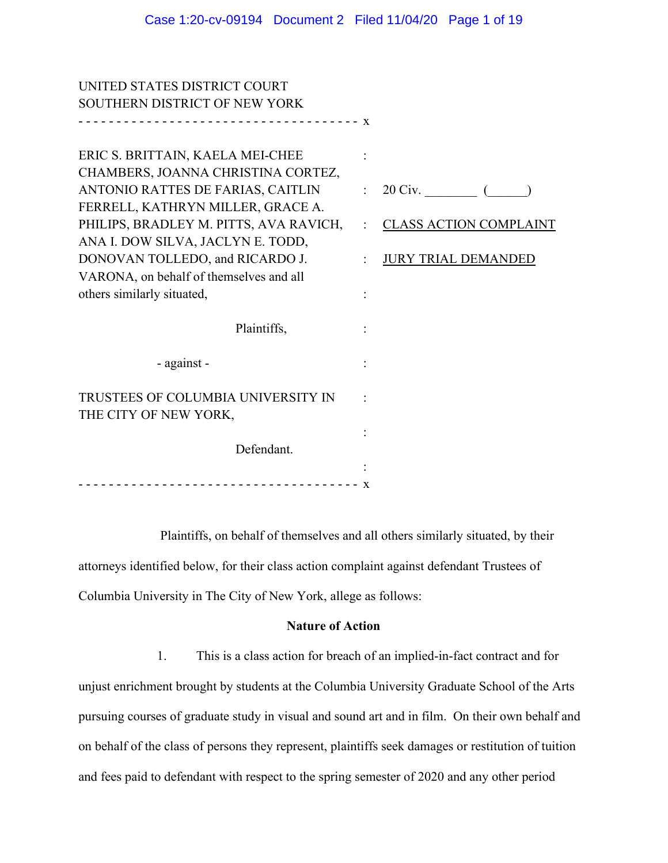UNITED STATES DISTRICT COURT

| 11 DD 917 NI DD DIO I NOT OO            |                                 |
|-----------------------------------------|---------------------------------|
| SOUTHERN DISTRICT OF NEW YORK           |                                 |
|                                         |                                 |
| ERIC S. BRITTAIN, KAELA MEI-CHEE        |                                 |
| CHAMBERS, JOANNA CHRISTINA CORTEZ,      |                                 |
| ANTONIO RATTES DE FARIAS, CAITLIN       | $\therefore$ 20 Civ. $\qquad$ ( |
| FERRELL, KATHRYN MILLER, GRACE A.       |                                 |
| PHILIPS, BRADLEY M. PITTS, AVA RAVICH,  | : CLASS ACTION COMPLAINT        |
| ANA I. DOW SILVA, JACLYN E. TODD,       |                                 |
| DONOVAN TOLLEDO, and RICARDO J.         | <b>JURY TRIAL DEMANDED</b>      |
| VARONA, on behalf of themselves and all |                                 |
| others similarly situated,              |                                 |
| Plaintiffs,                             |                                 |
| - against -                             |                                 |
| TRUSTEES OF COLUMBIA UNIVERSITY IN      |                                 |
| THE CITY OF NEW YORK,                   |                                 |
|                                         |                                 |
| Defendant.                              |                                 |
|                                         |                                 |
| -----------------------------------     |                                 |
|                                         |                                 |

Plaintiffs, on behalf of themselves and all others similarly situated, by their attorneys identified below, for their class action complaint against defendant Trustees of Columbia University in The City of New York, allege as follows:

### **Nature of Action**

1. This is a class action for breach of an implied-in-fact contract and for unjust enrichment brought by students at the Columbia University Graduate School of the Arts pursuing courses of graduate study in visual and sound art and in film. On their own behalf and on behalf of the class of persons they represent, plaintiffs seek damages or restitution of tuition and fees paid to defendant with respect to the spring semester of 2020 and any other period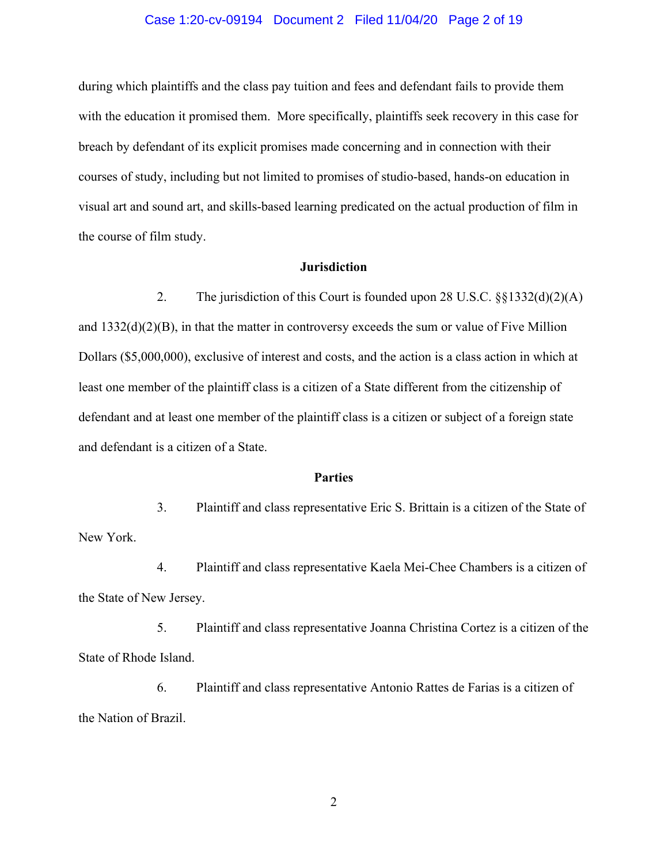#### Case 1:20-cv-09194 Document 2 Filed 11/04/20 Page 2 of 19

during which plaintiffs and the class pay tuition and fees and defendant fails to provide them with the education it promised them. More specifically, plaintiffs seek recovery in this case for breach by defendant of its explicit promises made concerning and in connection with their courses of study, including but not limited to promises of studio-based, hands-on education in visual art and sound art, and skills-based learning predicated on the actual production of film in the course of film study.

### **Jurisdiction**

2. The jurisdiction of this Court is founded upon 28 U.S.C. §§1332(d)(2)(A) and 1332(d)(2)(B), in that the matter in controversy exceeds the sum or value of Five Million Dollars (\$5,000,000), exclusive of interest and costs, and the action is a class action in which at least one member of the plaintiff class is a citizen of a State different from the citizenship of defendant and at least one member of the plaintiff class is a citizen or subject of a foreign state and defendant is a citizen of a State.

#### **Parties**

3. Plaintiff and class representative Eric S. Brittain is a citizen of the State of New York.

4. Plaintiff and class representative Kaela Mei-Chee Chambers is a citizen of the State of New Jersey.

5. Plaintiff and class representative Joanna Christina Cortez is a citizen of the State of Rhode Island.

6. Plaintiff and class representative Antonio Rattes de Farias is a citizen of the Nation of Brazil.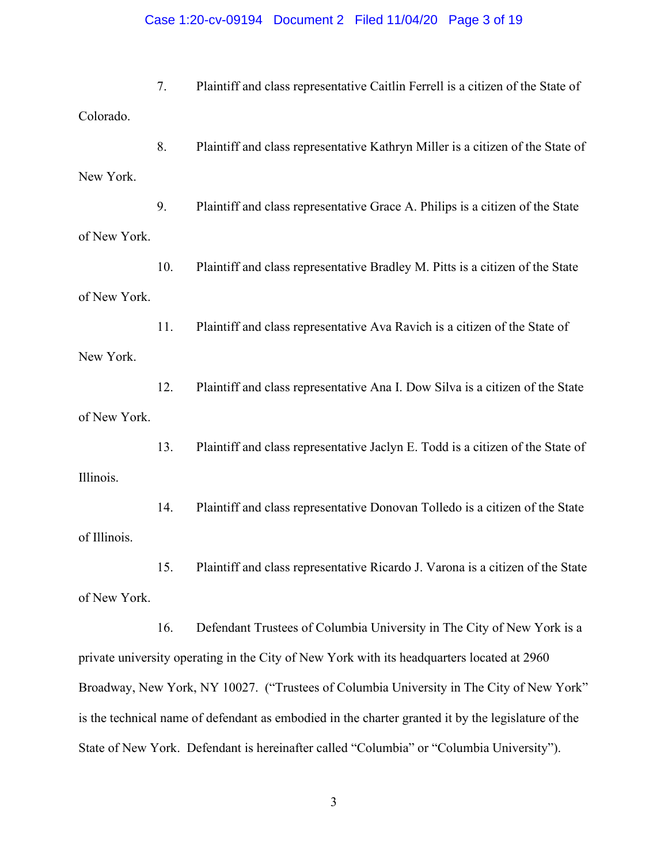#### Case 1:20-cv-09194 Document 2 Filed 11/04/20 Page 3 of 19

7. Plaintiff and class representative Caitlin Ferrell is a citizen of the State of Colorado.

8. Plaintiff and class representative Kathryn Miller is a citizen of the State of New York.

9. Plaintiff and class representative Grace A. Philips is a citizen of the State of New York.

10. Plaintiff and class representative Bradley M. Pitts is a citizen of the State of New York.

11. Plaintiff and class representative Ava Ravich is a citizen of the State of New York.

12. Plaintiff and class representative Ana I. Dow Silva is a citizen of the State of New York.

13. Plaintiff and class representative Jaclyn E. Todd is a citizen of the State of Illinois.

14. Plaintiff and class representative Donovan Tolledo is a citizen of the State of Illinois.

15. Plaintiff and class representative Ricardo J. Varona is a citizen of the State of New York.

16. Defendant Trustees of Columbia University in The City of New York is a private university operating in the City of New York with its headquarters located at 2960 Broadway, New York, NY 10027. ("Trustees of Columbia University in The City of New York" is the technical name of defendant as embodied in the charter granted it by the legislature of the State of New York. Defendant is hereinafter called "Columbia" or "Columbia University").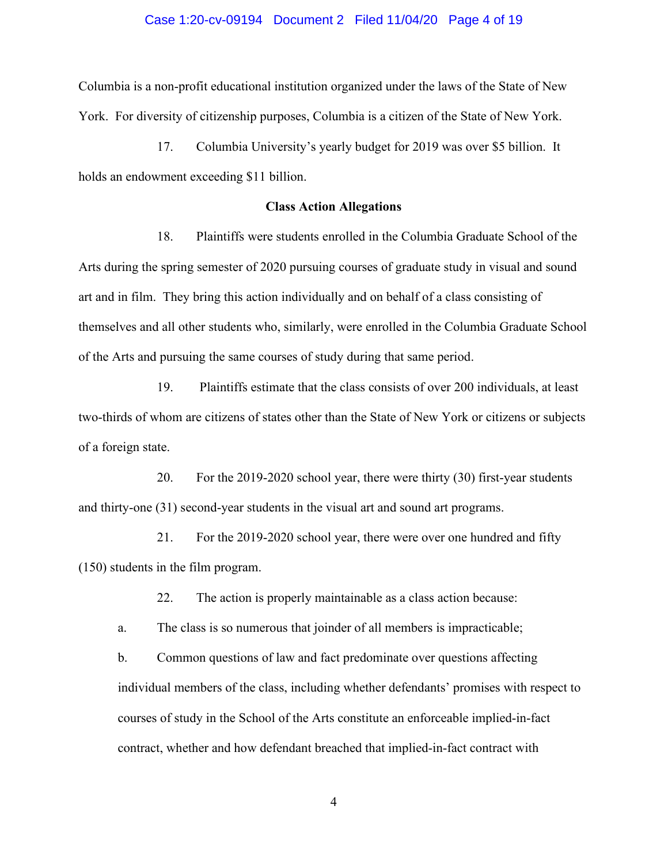#### Case 1:20-cv-09194 Document 2 Filed 11/04/20 Page 4 of 19

Columbia is a non-profit educational institution organized under the laws of the State of New York. For diversity of citizenship purposes, Columbia is a citizen of the State of New York.

17. Columbia University's yearly budget for 2019 was over \$5 billion. It holds an endowment exceeding \$11 billion.

#### **Class Action Allegations**

18. Plaintiffs were students enrolled in the Columbia Graduate School of the Arts during the spring semester of 2020 pursuing courses of graduate study in visual and sound art and in film. They bring this action individually and on behalf of a class consisting of themselves and all other students who, similarly, were enrolled in the Columbia Graduate School of the Arts and pursuing the same courses of study during that same period.

19. Plaintiffs estimate that the class consists of over 200 individuals, at least two-thirds of whom are citizens of states other than the State of New York or citizens or subjects of a foreign state.

20. For the 2019-2020 school year, there were thirty (30) first-year students and thirty-one (31) second-year students in the visual art and sound art programs.

21. For the 2019-2020 school year, there were over one hundred and fifty (150) students in the film program.

22. The action is properly maintainable as a class action because:

a. The class is so numerous that joinder of all members is impracticable;

b. Common questions of law and fact predominate over questions affecting individual members of the class, including whether defendants' promises with respect to courses of study in the School of the Arts constitute an enforceable implied-in-fact contract, whether and how defendant breached that implied-in-fact contract with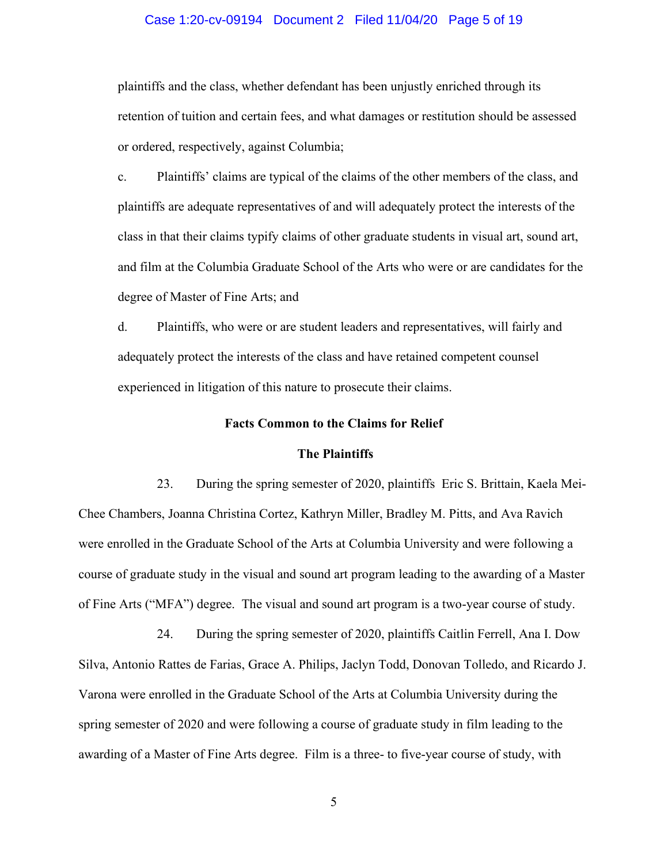#### Case 1:20-cv-09194 Document 2 Filed 11/04/20 Page 5 of 19

plaintiffs and the class, whether defendant has been unjustly enriched through its retention of tuition and certain fees, and what damages or restitution should be assessed or ordered, respectively, against Columbia;

c. Plaintiffs' claims are typical of the claims of the other members of the class, and plaintiffs are adequate representatives of and will adequately protect the interests of the class in that their claims typify claims of other graduate students in visual art, sound art, and film at the Columbia Graduate School of the Arts who were or are candidates for the degree of Master of Fine Arts; and

d. Plaintiffs, who were or are student leaders and representatives, will fairly and adequately protect the interests of the class and have retained competent counsel experienced in litigation of this nature to prosecute their claims.

#### **Facts Common to the Claims for Relief**

#### **The Plaintiffs**

23. During the spring semester of 2020, plaintiffs Eric S. Brittain, Kaela Mei-Chee Chambers, Joanna Christina Cortez, Kathryn Miller, Bradley M. Pitts, and Ava Ravich were enrolled in the Graduate School of the Arts at Columbia University and were following a course of graduate study in the visual and sound art program leading to the awarding of a Master of Fine Arts ("MFA") degree. The visual and sound art program is a two-year course of study.

24. During the spring semester of 2020, plaintiffs Caitlin Ferrell, Ana I. Dow Silva, Antonio Rattes de Farias, Grace A. Philips, Jaclyn Todd, Donovan Tolledo, and Ricardo J. Varona were enrolled in the Graduate School of the Arts at Columbia University during the spring semester of 2020 and were following a course of graduate study in film leading to the awarding of a Master of Fine Arts degree. Film is a three- to five-year course of study, with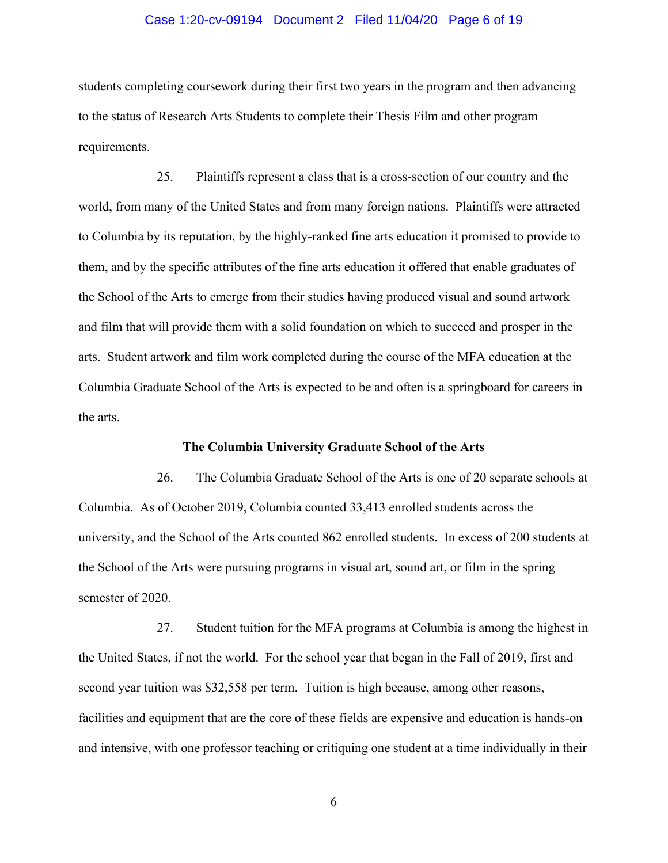#### Case 1:20-cv-09194 Document 2 Filed 11/04/20 Page 6 of 19

students completing coursework during their first two years in the program and then advancing to the status of Research Arts Students to complete their Thesis Film and other program requirements.

25. Plaintiffs represent a class that is a cross-section of our country and the world, from many of the United States and from many foreign nations. Plaintiffs were attracted to Columbia by its reputation, by the highly-ranked fine arts education it promised to provide to them, and by the specific attributes of the fine arts education it offered that enable graduates of the School of the Arts to emerge from their studies having produced visual and sound artwork and film that will provide them with a solid foundation on which to succeed and prosper in the arts. Student artwork and film work completed during the course of the MFA education at the Columbia Graduate School of the Arts is expected to be and often is a springboard for careers in the arts.

### **The Columbia University Graduate School of the Arts**

26. The Columbia Graduate School of the Arts is one of 20 separate schools at Columbia. As of October 2019, Columbia counted 33,413 enrolled students across the university, and the School of the Arts counted 862 enrolled students. In excess of 200 students at the School of the Arts were pursuing programs in visual art, sound art, or film in the spring semester of 2020.

27. Student tuition for the MFA programs at Columbia is among the highest in the United States, if not the world. For the school year that began in the Fall of 2019, first and second year tuition was \$32,558 per term. Tuition is high because, among other reasons, facilities and equipment that are the core of these fields are expensive and education is hands-on and intensive, with one professor teaching or critiquing one student at a time individually in their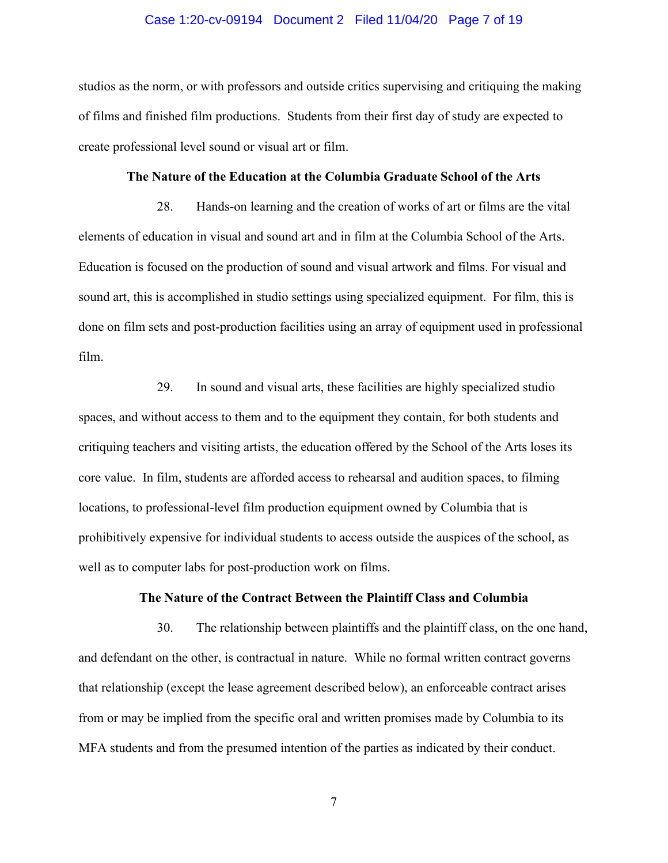#### Case 1:20-cv-09194 Document 2 Filed 11/04/20 Page 7 of 19

studios as the norm, or with professors and outside critics supervising and critiquing the making of films and finished film productions. Students from their first day of study are expected to create professional level sound or visual art or film.

#### **The Nature of the Education at the Columbia Graduate School of the Arts**

28. Hands-on learning and the creation of works of art or films are the vital elements of education in visual and sound art and in film at the Columbia School of the Arts. Education is focused on the production of sound and visual artwork and films. For visual and sound art, this is accomplished in studio settings using specialized equipment. For film, this is done on film sets and post-production facilities using an array of equipment used in professional film.

29. In sound and visual arts, these facilities are highly specialized studio spaces, and without access to them and to the equipment they contain, for both students and critiquing teachers and visiting artists, the education offered by the School of the Arts loses its core value. In film, students are afforded access to rehearsal and audition spaces, to filming locations, to professional-level film production equipment owned by Columbia that is prohibitively expensive for individual students to access outside the auspices of the school, as well as to computer labs for post-production work on films.

### **The Nature of the Contract Between the Plaintiff Class and Columbia**

30. The relationship between plaintiffs and the plaintiff class, on the one hand, and defendant on the other, is contractual in nature. While no formal written contract governs that relationship (except the lease agreement described below), an enforceable contract arises from or may be implied from the specific oral and written promises made by Columbia to its MFA students and from the presumed intention of the parties as indicated by their conduct.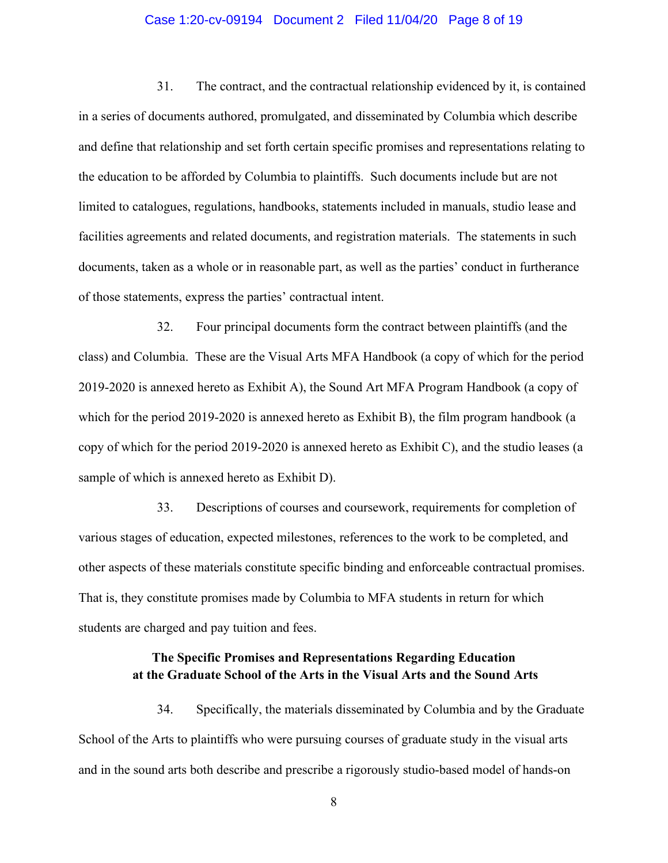#### Case 1:20-cv-09194 Document 2 Filed 11/04/20 Page 8 of 19

31. The contract, and the contractual relationship evidenced by it, is contained in a series of documents authored, promulgated, and disseminated by Columbia which describe and define that relationship and set forth certain specific promises and representations relating to the education to be afforded by Columbia to plaintiffs. Such documents include but are not limited to catalogues, regulations, handbooks, statements included in manuals, studio lease and facilities agreements and related documents, and registration materials. The statements in such documents, taken as a whole or in reasonable part, as well as the parties' conduct in furtherance of those statements, express the parties' contractual intent.

32. Four principal documents form the contract between plaintiffs (and the class) and Columbia. These are the Visual Arts MFA Handbook (a copy of which for the period 2019-2020 is annexed hereto as Exhibit A), the Sound Art MFA Program Handbook (a copy of which for the period 2019-2020 is annexed hereto as Exhibit B), the film program handbook (a copy of which for the period 2019-2020 is annexed hereto as Exhibit C), and the studio leases (a sample of which is annexed hereto as Exhibit D).

33. Descriptions of courses and coursework, requirements for completion of various stages of education, expected milestones, references to the work to be completed, and other aspects of these materials constitute specific binding and enforceable contractual promises. That is, they constitute promises made by Columbia to MFA students in return for which students are charged and pay tuition and fees.

## **The Specific Promises and Representations Regarding Education at the Graduate School of the Arts in the Visual Arts and the Sound Arts**

34. Specifically, the materials disseminated by Columbia and by the Graduate School of the Arts to plaintiffs who were pursuing courses of graduate study in the visual arts and in the sound arts both describe and prescribe a rigorously studio-based model of hands-on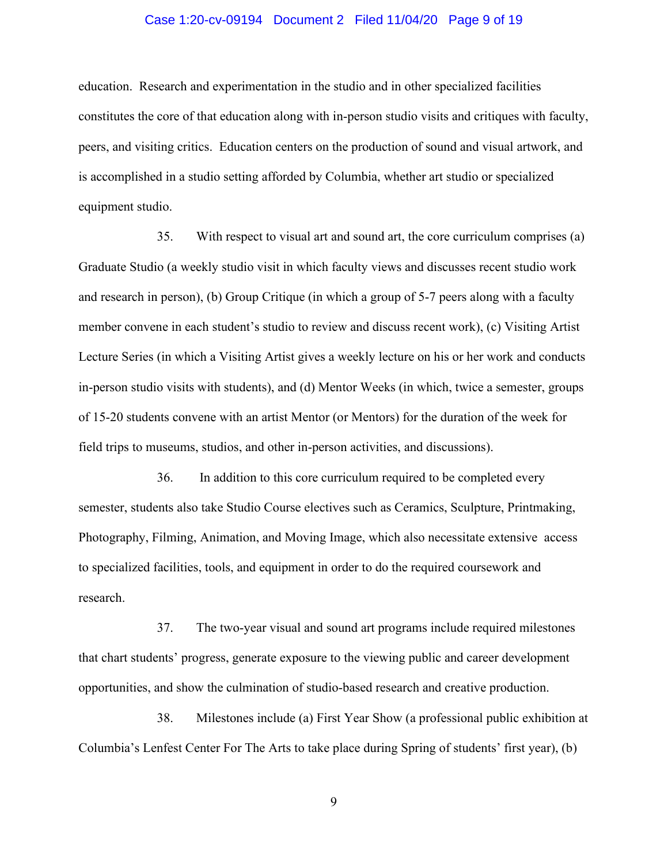#### Case 1:20-cv-09194 Document 2 Filed 11/04/20 Page 9 of 19

education. Research and experimentation in the studio and in other specialized facilities constitutes the core of that education along with in-person studio visits and critiques with faculty, peers, and visiting critics. Education centers on the production of sound and visual artwork, and is accomplished in a studio setting afforded by Columbia, whether art studio or specialized equipment studio.

35. With respect to visual art and sound art, the core curriculum comprises (a) Graduate Studio (a weekly studio visit in which faculty views and discusses recent studio work and research in person), (b) Group Critique (in which a group of 5-7 peers along with a faculty member convene in each student's studio to review and discuss recent work), (c) Visiting Artist Lecture Series (in which a Visiting Artist gives a weekly lecture on his or her work and conducts in-person studio visits with students), and (d) Mentor Weeks (in which, twice a semester, groups of 15-20 students convene with an artist Mentor (or Mentors) for the duration of the week for field trips to museums, studios, and other in-person activities, and discussions).

36. In addition to this core curriculum required to be completed every semester, students also take Studio Course electives such as Ceramics, Sculpture, Printmaking, Photography, Filming, Animation, and Moving Image, which also necessitate extensive access to specialized facilities, tools, and equipment in order to do the required coursework and research.

37. The two-year visual and sound art programs include required milestones that chart students' progress, generate exposure to the viewing public and career development opportunities, and show the culmination of studio-based research and creative production.

38. Milestones include (a) First Year Show (a professional public exhibition at Columbia's Lenfest Center For The Arts to take place during Spring of students' first year), (b)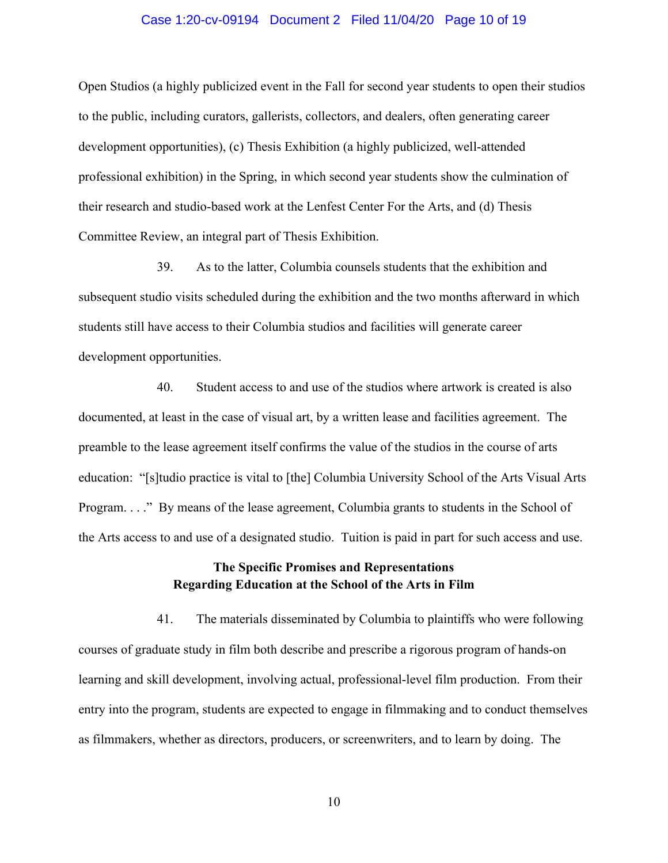#### Case 1:20-cv-09194 Document 2 Filed 11/04/20 Page 10 of 19

Open Studios (a highly publicized event in the Fall for second year students to open their studios to the public, including curators, gallerists, collectors, and dealers, often generating career development opportunities), (c) Thesis Exhibition (a highly publicized, well-attended professional exhibition) in the Spring, in which second year students show the culmination of their research and studio-based work at the Lenfest Center For the Arts, and (d) Thesis Committee Review, an integral part of Thesis Exhibition.

39. As to the latter, Columbia counsels students that the exhibition and subsequent studio visits scheduled during the exhibition and the two months afterward in which students still have access to their Columbia studios and facilities will generate career development opportunities.

40. Student access to and use of the studios where artwork is created is also documented, at least in the case of visual art, by a written lease and facilities agreement. The preamble to the lease agreement itself confirms the value of the studios in the course of arts education: "[s]tudio practice is vital to [the] Columbia University School of the Arts Visual Arts Program. . . ." By means of the lease agreement, Columbia grants to students in the School of the Arts access to and use of a designated studio. Tuition is paid in part for such access and use.

## **The Specific Promises and Representations Regarding Education at the School of the Arts in Film**

41. The materials disseminated by Columbia to plaintiffs who were following courses of graduate study in film both describe and prescribe a rigorous program of hands-on learning and skill development, involving actual, professional-level film production. From their entry into the program, students are expected to engage in filmmaking and to conduct themselves as filmmakers, whether as directors, producers, or screenwriters, and to learn by doing. The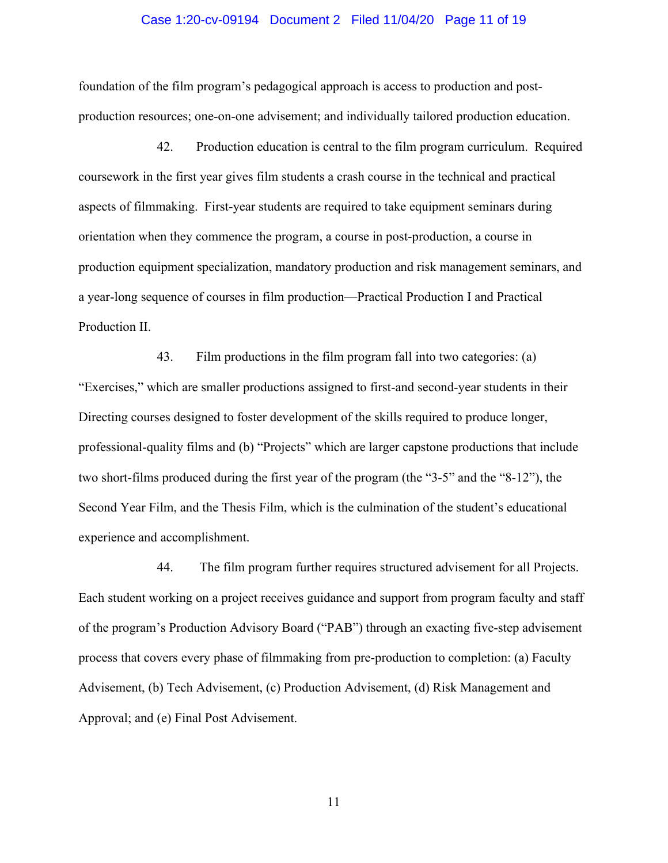#### Case 1:20-cv-09194 Document 2 Filed 11/04/20 Page 11 of 19

foundation of the film program's pedagogical approach is access to production and postproduction resources; one-on-one advisement; and individually tailored production education.

42. Production education is central to the film program curriculum. Required coursework in the first year gives film students a crash course in the technical and practical aspects of filmmaking. First-year students are required to take equipment seminars during orientation when they commence the program, a course in post-production, a course in production equipment specialization, mandatory production and risk management seminars, and a year-long sequence of courses in film production—Practical Production I and Practical Production II.

43. Film productions in the film program fall into two categories: (a) "Exercises," which are smaller productions assigned to first-and second-year students in their Directing courses designed to foster development of the skills required to produce longer, professional-quality films and (b) "Projects" which are larger capstone productions that include two short-films produced during the first year of the program (the "3-5" and the "8-12"), the Second Year Film, and the Thesis Film, which is the culmination of the student's educational experience and accomplishment.

44. The film program further requires structured advisement for all Projects. Each student working on a project receives guidance and support from program faculty and staff of the program's Production Advisory Board ("PAB") through an exacting five-step advisement process that covers every phase of filmmaking from pre-production to completion: (a) Faculty Advisement, (b) Tech Advisement, (c) Production Advisement, (d) Risk Management and Approval; and (e) Final Post Advisement.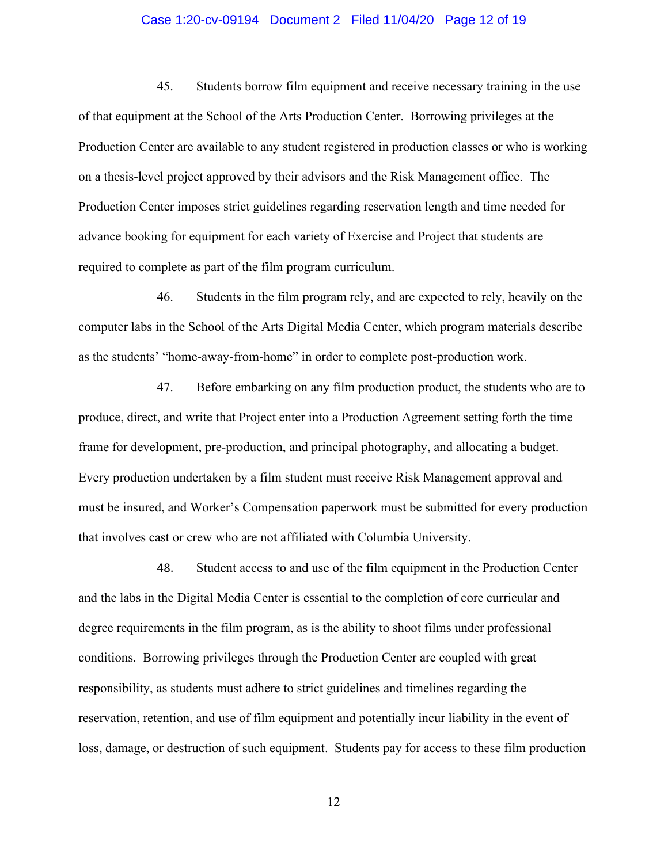#### Case 1:20-cv-09194 Document 2 Filed 11/04/20 Page 12 of 19

45. Students borrow film equipment and receive necessary training in the use of that equipment at the School of the Arts Production Center. Borrowing privileges at the Production Center are available to any student registered in production classes or who is working on a thesis-level project approved by their advisors and the Risk Management office. The Production Center imposes strict guidelines regarding reservation length and time needed for advance booking for equipment for each variety of Exercise and Project that students are required to complete as part of the film program curriculum.

46. Students in the film program rely, and are expected to rely, heavily on the computer labs in the School of the Arts Digital Media Center, which program materials describe as the students' "home-away-from-home" in order to complete post-production work.

47. Before embarking on any film production product, the students who are to produce, direct, and write that Project enter into a Production Agreement setting forth the time frame for development, pre-production, and principal photography, and allocating a budget. Every production undertaken by a film student must receive Risk Management approval and must be insured, and Worker's Compensation paperwork must be submitted for every production that involves cast or crew who are not affiliated with Columbia University.

48. Student access to and use of the film equipment in the Production Center and the labs in the Digital Media Center is essential to the completion of core curricular and degree requirements in the film program, as is the ability to shoot films under professional conditions. Borrowing privileges through the Production Center are coupled with great responsibility, as students must adhere to strict guidelines and timelines regarding the reservation, retention, and use of film equipment and potentially incur liability in the event of loss, damage, or destruction of such equipment. Students pay for access to these film production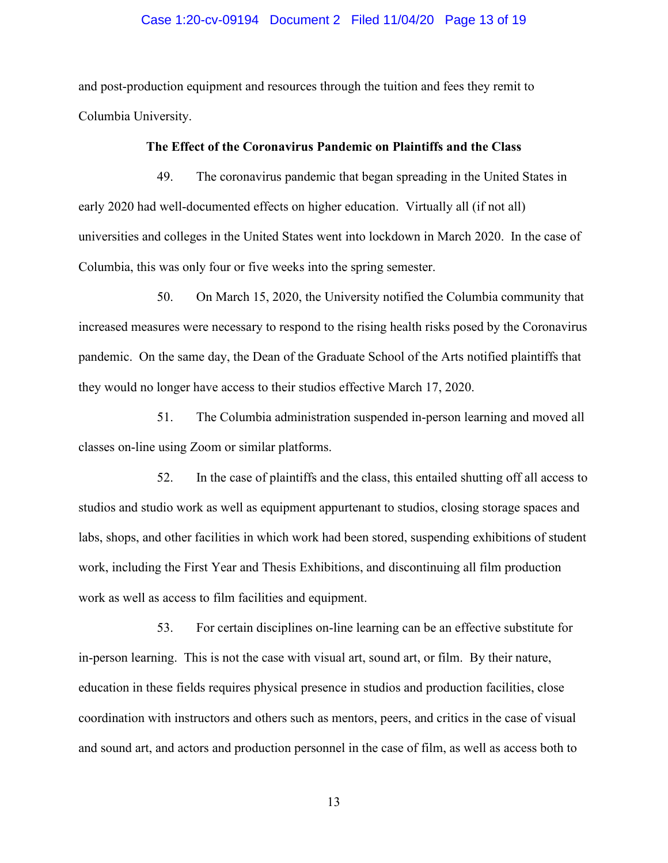#### Case 1:20-cv-09194 Document 2 Filed 11/04/20 Page 13 of 19

and post-production equipment and resources through the tuition and fees they remit to Columbia University.

### **The Effect of the Coronavirus Pandemic on Plaintiffs and the Class**

49. The coronavirus pandemic that began spreading in the United States in early 2020 had well-documented effects on higher education. Virtually all (if not all) universities and colleges in the United States went into lockdown in March 2020. In the case of Columbia, this was only four or five weeks into the spring semester.

50. On March 15, 2020, the University notified the Columbia community that increased measures were necessary to respond to the rising health risks posed by the Coronavirus pandemic. On the same day, the Dean of the Graduate School of the Arts notified plaintiffs that they would no longer have access to their studios effective March 17, 2020.

51. The Columbia administration suspended in-person learning and moved all classes on-line using Zoom or similar platforms.

52. In the case of plaintiffs and the class, this entailed shutting off all access to studios and studio work as well as equipment appurtenant to studios, closing storage spaces and labs, shops, and other facilities in which work had been stored, suspending exhibitions of student work, including the First Year and Thesis Exhibitions, and discontinuing all film production work as well as access to film facilities and equipment.

53. For certain disciplines on-line learning can be an effective substitute for in-person learning. This is not the case with visual art, sound art, or film. By their nature, education in these fields requires physical presence in studios and production facilities, close coordination with instructors and others such as mentors, peers, and critics in the case of visual and sound art, and actors and production personnel in the case of film, as well as access both to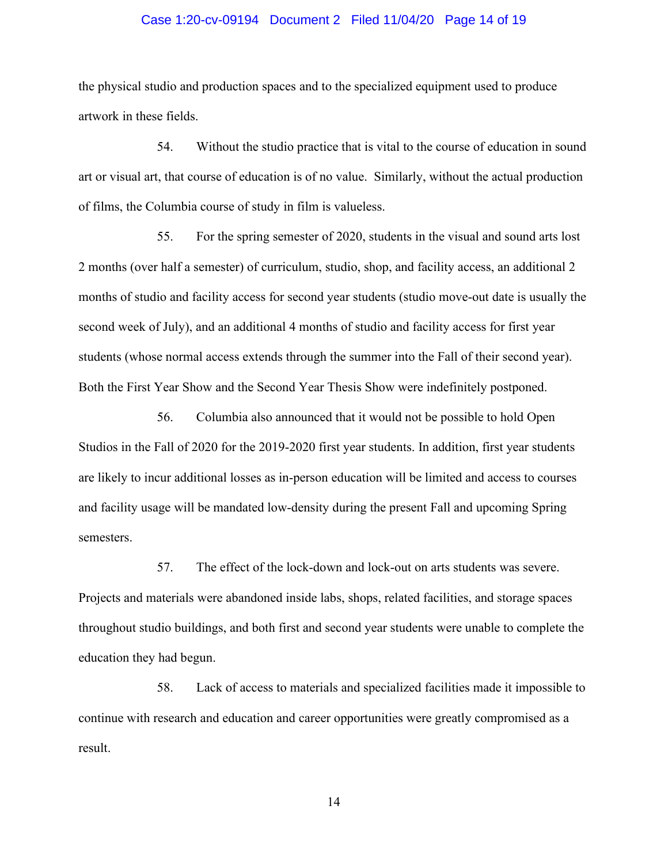#### Case 1:20-cv-09194 Document 2 Filed 11/04/20 Page 14 of 19

the physical studio and production spaces and to the specialized equipment used to produce artwork in these fields.

54. Without the studio practice that is vital to the course of education in sound art or visual art, that course of education is of no value. Similarly, without the actual production of films, the Columbia course of study in film is valueless.

55. For the spring semester of 2020, students in the visual and sound arts lost 2 months (over half a semester) of curriculum, studio, shop, and facility access, an additional 2 months of studio and facility access for second year students (studio move-out date is usually the second week of July), and an additional 4 months of studio and facility access for first year students (whose normal access extends through the summer into the Fall of their second year). Both the First Year Show and the Second Year Thesis Show were indefinitely postponed.

56. Columbia also announced that it would not be possible to hold Open Studios in the Fall of 2020 for the 2019-2020 first year students. In addition, first year students are likely to incur additional losses as in-person education will be limited and access to courses and facility usage will be mandated low-density during the present Fall and upcoming Spring semesters.

57. The effect of the lock-down and lock-out on arts students was severe. Projects and materials were abandoned inside labs, shops, related facilities, and storage spaces throughout studio buildings, and both first and second year students were unable to complete the education they had begun.

58. Lack of access to materials and specialized facilities made it impossible to continue with research and education and career opportunities were greatly compromised as a result.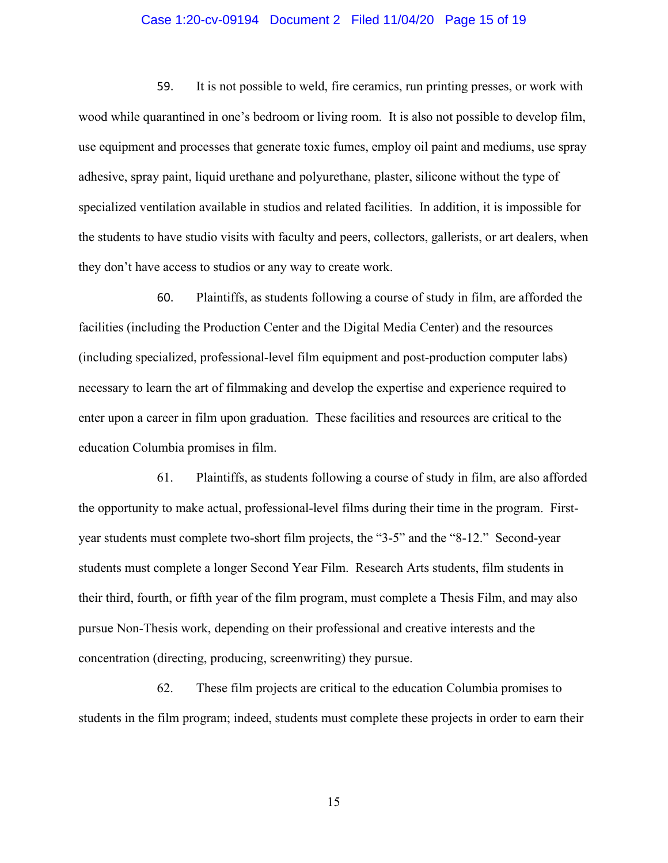#### Case 1:20-cv-09194 Document 2 Filed 11/04/20 Page 15 of 19

59. It is not possible to weld, fire ceramics, run printing presses, or work with wood while quarantined in one's bedroom or living room. It is also not possible to develop film, use equipment and processes that generate toxic fumes, employ oil paint and mediums, use spray adhesive, spray paint, liquid urethane and polyurethane, plaster, silicone without the type of specialized ventilation available in studios and related facilities. In addition, it is impossible for the students to have studio visits with faculty and peers, collectors, gallerists, or art dealers, when they don't have access to studios or any way to create work.

60. Plaintiffs, as students following a course of study in film, are afforded the facilities (including the Production Center and the Digital Media Center) and the resources (including specialized, professional-level film equipment and post-production computer labs) necessary to learn the art of filmmaking and develop the expertise and experience required to enter upon a career in film upon graduation. These facilities and resources are critical to the education Columbia promises in film.

61. Plaintiffs, as students following a course of study in film, are also afforded the opportunity to make actual, professional-level films during their time in the program. Firstyear students must complete two-short film projects, the "3-5" and the "8-12." Second-year students must complete a longer Second Year Film. Research Arts students, film students in their third, fourth, or fifth year of the film program, must complete a Thesis Film, and may also pursue Non-Thesis work, depending on their professional and creative interests and the concentration (directing, producing, screenwriting) they pursue.

62. These film projects are critical to the education Columbia promises to students in the film program; indeed, students must complete these projects in order to earn their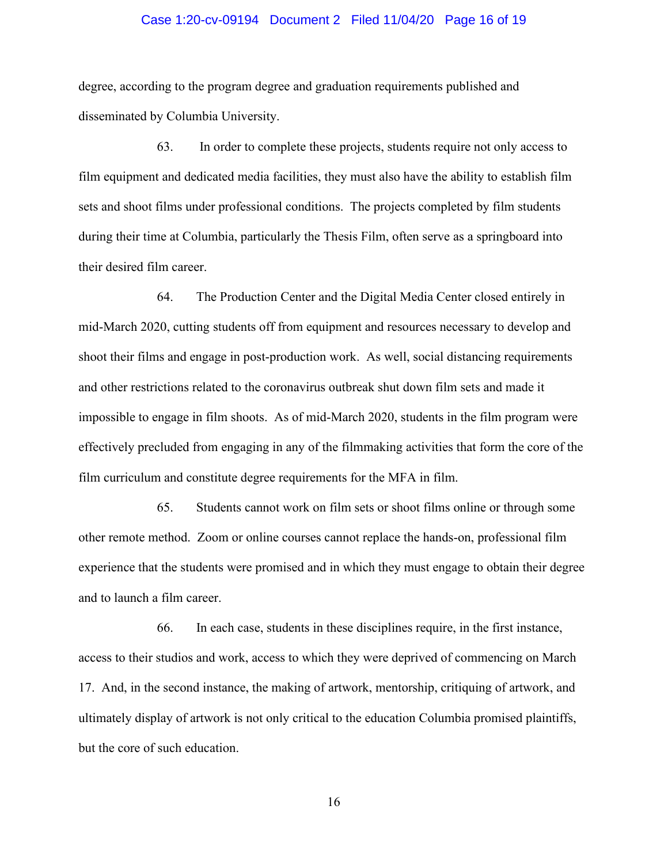#### Case 1:20-cv-09194 Document 2 Filed 11/04/20 Page 16 of 19

degree, according to the program degree and graduation requirements published and disseminated by Columbia University.

63. In order to complete these projects, students require not only access to film equipment and dedicated media facilities, they must also have the ability to establish film sets and shoot films under professional conditions. The projects completed by film students during their time at Columbia, particularly the Thesis Film, often serve as a springboard into their desired film career.

64. The Production Center and the Digital Media Center closed entirely in mid-March 2020, cutting students off from equipment and resources necessary to develop and shoot their films and engage in post-production work. As well, social distancing requirements and other restrictions related to the coronavirus outbreak shut down film sets and made it impossible to engage in film shoots. As of mid-March 2020, students in the film program were effectively precluded from engaging in any of the filmmaking activities that form the core of the film curriculum and constitute degree requirements for the MFA in film.

65. Students cannot work on film sets or shoot films online or through some other remote method. Zoom or online courses cannot replace the hands-on, professional film experience that the students were promised and in which they must engage to obtain their degree and to launch a film career.

66. In each case, students in these disciplines require, in the first instance, access to their studios and work, access to which they were deprived of commencing on March 17. And, in the second instance, the making of artwork, mentorship, critiquing of artwork, and ultimately display of artwork is not only critical to the education Columbia promised plaintiffs, but the core of such education.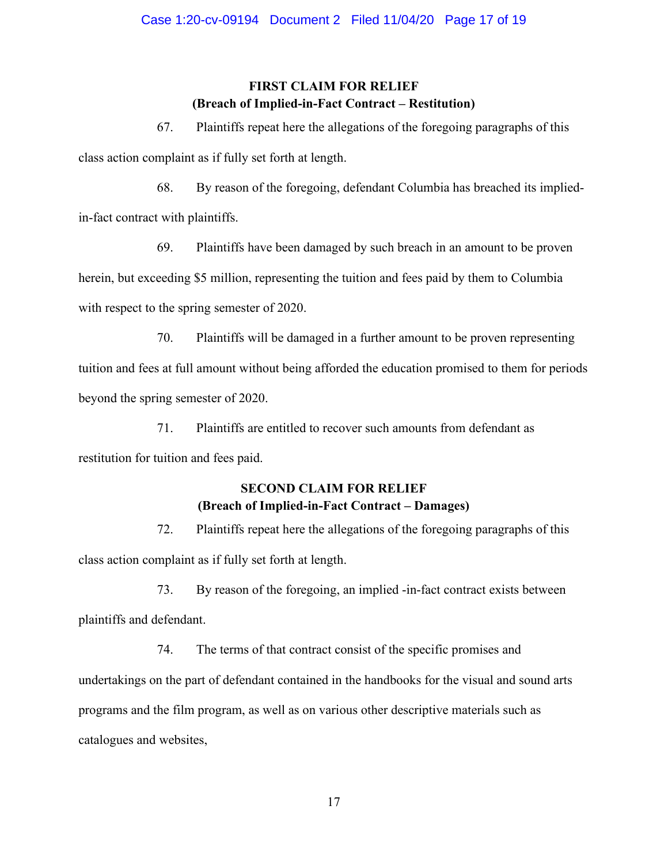## **FIRST CLAIM FOR RELIEF (Breach of Implied-in-Fact Contract – Restitution)**

67. Plaintiffs repeat here the allegations of the foregoing paragraphs of this

class action complaint as if fully set forth at length.

68. By reason of the foregoing, defendant Columbia has breached its implied-

in-fact contract with plaintiffs.

69. Plaintiffs have been damaged by such breach in an amount to be proven herein, but exceeding \$5 million, representing the tuition and fees paid by them to Columbia with respect to the spring semester of 2020.

70. Plaintiffs will be damaged in a further amount to be proven representing tuition and fees at full amount without being afforded the education promised to them for periods beyond the spring semester of 2020.

71. Plaintiffs are entitled to recover such amounts from defendant as restitution for tuition and fees paid.

# **SECOND CLAIM FOR RELIEF (Breach of Implied-in-Fact Contract – Damages)**

72. Plaintiffs repeat here the allegations of the foregoing paragraphs of this class action complaint as if fully set forth at length.

73. By reason of the foregoing, an implied -in-fact contract exists between plaintiffs and defendant.

74. The terms of that contract consist of the specific promises and undertakings on the part of defendant contained in the handbooks for the visual and sound arts programs and the film program, as well as on various other descriptive materials such as catalogues and websites,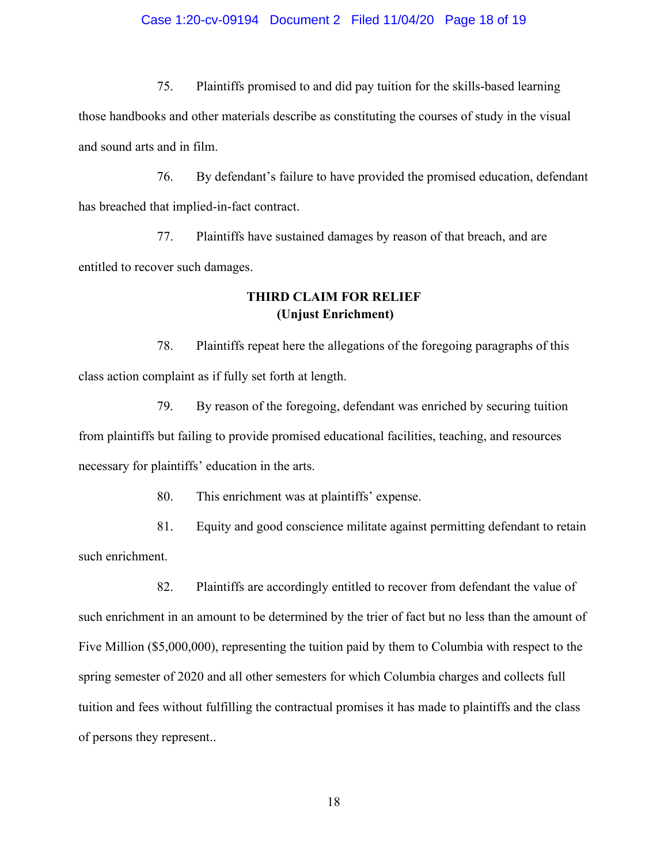#### Case 1:20-cv-09194 Document 2 Filed 11/04/20 Page 18 of 19

75. Plaintiffs promised to and did pay tuition for the skills-based learning

those handbooks and other materials describe as constituting the courses of study in the visual and sound arts and in film.

76. By defendant's failure to have provided the promised education, defendant has breached that implied-in-fact contract.

77. Plaintiffs have sustained damages by reason of that breach, and are entitled to recover such damages.

## **THIRD CLAIM FOR RELIEF (Unjust Enrichment)**

78. Plaintiffs repeat here the allegations of the foregoing paragraphs of this class action complaint as if fully set forth at length.

79. By reason of the foregoing, defendant was enriched by securing tuition from plaintiffs but failing to provide promised educational facilities, teaching, and resources necessary for plaintiffs' education in the arts.

80. This enrichment was at plaintiffs' expense.

81. Equity and good conscience militate against permitting defendant to retain such enrichment.

82. Plaintiffs are accordingly entitled to recover from defendant the value of such enrichment in an amount to be determined by the trier of fact but no less than the amount of Five Million (\$5,000,000), representing the tuition paid by them to Columbia with respect to the spring semester of 2020 and all other semesters for which Columbia charges and collects full tuition and fees without fulfilling the contractual promises it has made to plaintiffs and the class of persons they represent..